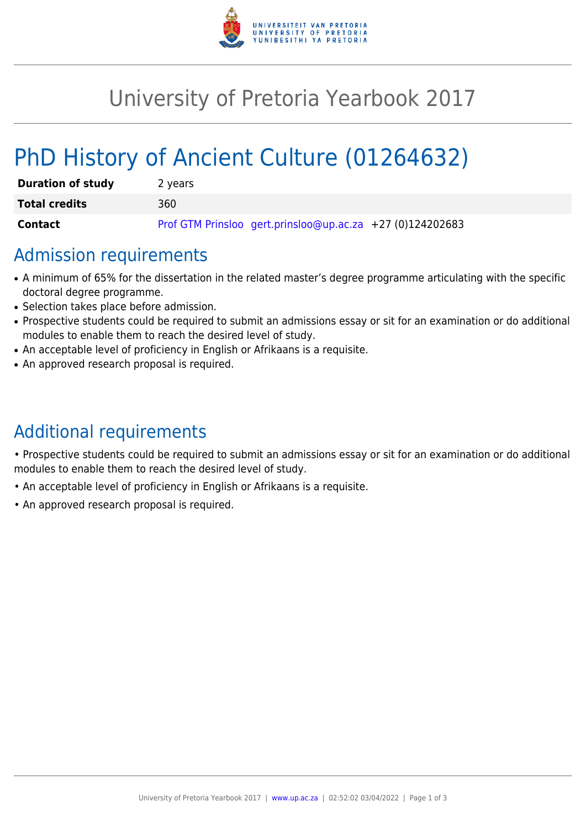

## University of Pretoria Yearbook 2017

# PhD History of Ancient Culture (01264632)

| <b>Duration of study</b> | 2 years                                                   |
|--------------------------|-----------------------------------------------------------|
| <b>Total credits</b>     | 360                                                       |
| <b>Contact</b>           | Prof GTM Prinsloo gert.prinsloo@up.ac.za +27 (0)124202683 |

## Admission requirements

- A minimum of 65% for the dissertation in the related master's degree programme articulating with the specific doctoral degree programme.
- Selection takes place before admission.
- Prospective students could be required to submit an admissions essay or sit for an examination or do additional modules to enable them to reach the desired level of study.
- An acceptable level of proficiency in English or Afrikaans is a requisite.
- An approved research proposal is required.

## Additional requirements

• Prospective students could be required to submit an admissions essay or sit for an examination or do additional modules to enable them to reach the desired level of study.

- An acceptable level of proficiency in English or Afrikaans is a requisite.
- An approved research proposal is required.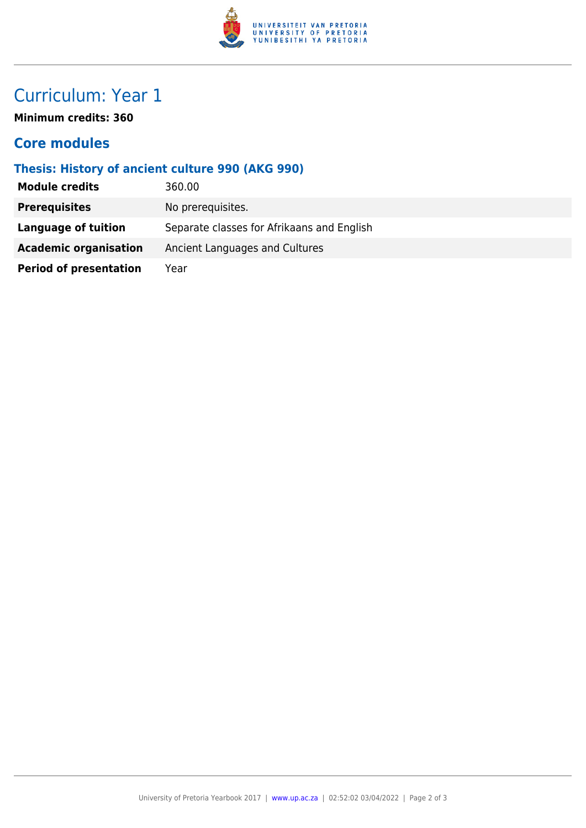

## Curriculum: Year 1

**Minimum credits: 360**

#### **Core modules**

#### **Thesis: History of ancient culture 990 (AKG 990)**

| <b>Module credits</b>         | 360.00                                     |
|-------------------------------|--------------------------------------------|
| <b>Prerequisites</b>          | No prerequisites.                          |
| Language of tuition           | Separate classes for Afrikaans and English |
| <b>Academic organisation</b>  | Ancient Languages and Cultures             |
| <b>Period of presentation</b> | Year                                       |